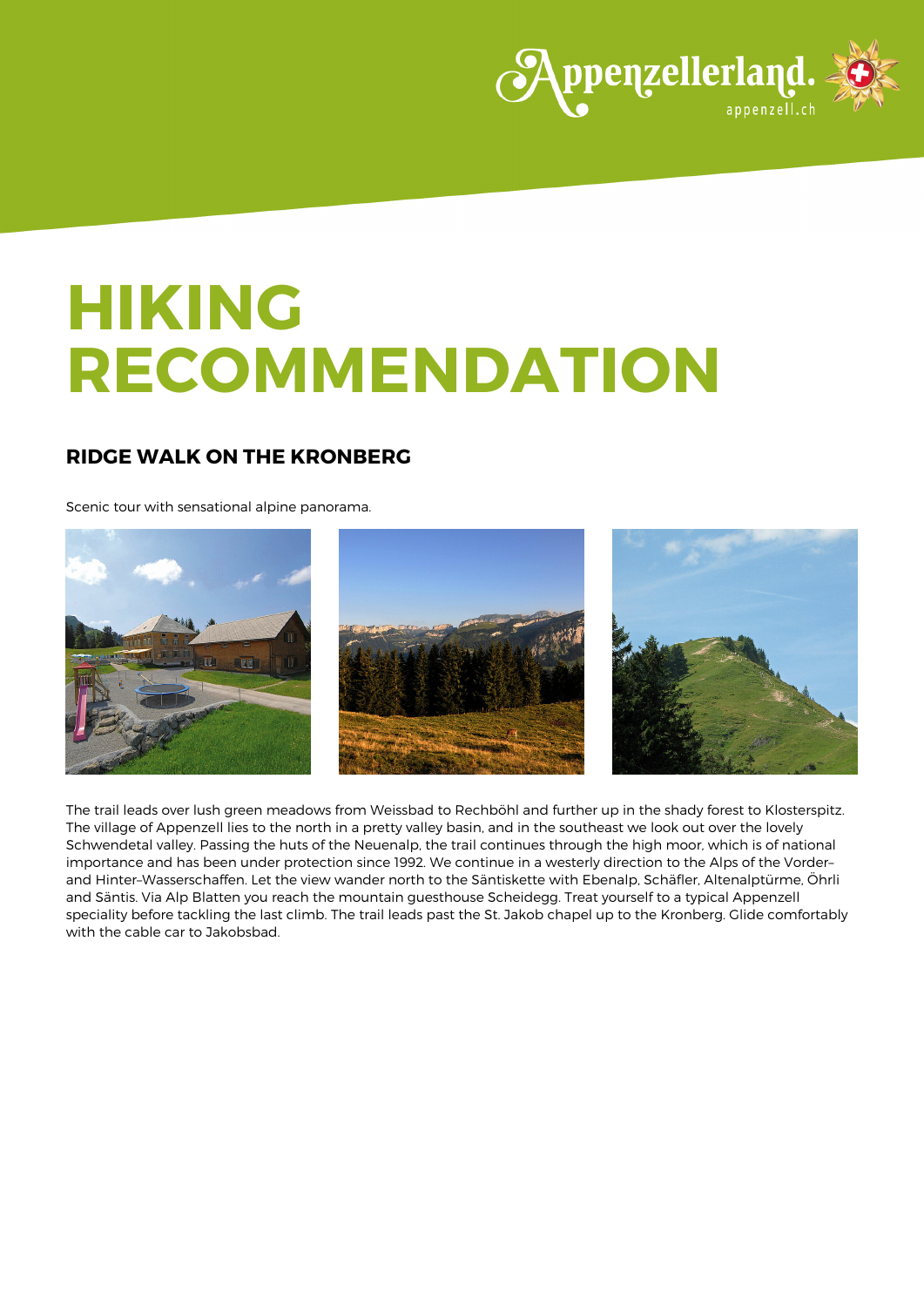

# **HIKING RECOMMENDATION**

# **RIDGE WALK ON THE KRONBERG**

Scenic tour with sensational alpine panorama.



The trail leads over lush green meadows from Weissbad to Rechböhl and further up in the shady forest to Klosterspitz. The village of Appenzell lies to the north in a pretty valley basin, and in the southeast we look out over the lovely Schwendetal valley. Passing the huts of the Neuenalp, the trail continues through the high moor, which is of national importance and has been under protection since 1992. We continue in a westerly direction to the Alps of the Vorder– and Hinter–Wasserschaffen. Let the view wander north to the Säntiskette with Ebenalp, Schäfler, Altenalptürme, Öhrli and Säntis. Via Alp Blatten you reach the mountain guesthouse Scheidegg. Treat yourself to a typical Appenzell speciality before tackling the last climb. The trail leads past the St. Jakob chapel up to the Kronberg. Glide comfortably with the cable car to Jakobsbad.